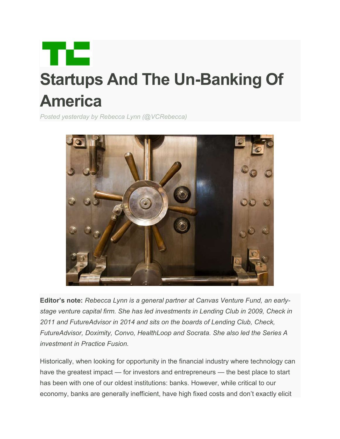

# **Startups And The Un-Banking Of America**

*Posted yesterday by Rebecca Lynn (@VCRebecca)*



**Editor's note:** *Rebecca Lynn is a general partner at Canvas Venture Fund, an earlystage venture capital firm. She has led investments in Lending Club in 2009, Check in 2011 and FutureAdvisor in 2014 and sits on the boards of Lending Club, Check, FutureAdvisor, Doximity, Convo, HealthLoop and Socrata. She also led the Series A investment in Practice Fusion.* 

Historically, when looking for opportunity in the financial industry where technology can have the greatest impact — for investors and entrepreneurs — the best place to start has been with one of our oldest institutions: banks. However, while critical to our economy, banks are generally inefficient, have high fixed costs and don't exactly elicit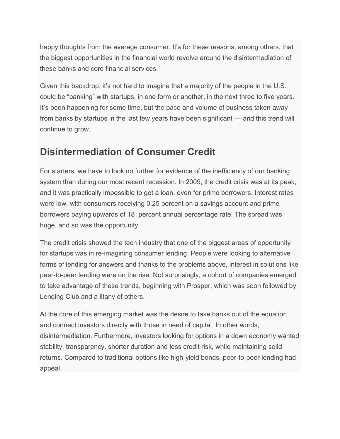happy thoughts from the average consumer. It's for these reasons, among others, that the biggest opportunities in the financial world revolve around the disintermediation of these banks and core financial services.

Given this backdrop, it's not hard to imagine that a majority of the people in the U.S. could be "banking" with startups, in one form or another, in the next three to five years. It's been happening for some time, but the pace and volume of business taken away from banks by startups in the last few years have been significant — and this trend will continue to grow.

### **Disintermediation of Consumer Credit**

For starters, we have to look no further for evidence of the inefficiency of our banking system than during our most recent recession. In 2009, the credit crisis was at its peak, and it was practically impossible to get a loan, even for prime borrowers. Interest rates were low, with consumers receiving 0.25 percent on a savings account and prime borrowers paying upwards of 18 percent annual percentage rate. The spread was huge, and so was the opportunity.

The credit crisis showed the tech industry that one of the biggest areas of opportunity for startups was in re-imagining consumer lending. People were looking to alternative forms of lending for answers and thanks to the problems above, interest in solutions like peer-to-peer lending were on the rise. Not surprisingly, a cohort of companies emerged to take advantage of these trends, beginning with Prosper, which was soon followed by Lending Club and a litany of others.

At the core of this emerging market was the desire to take banks out of the equation and connect investors directly with those in need of capital. In other words, disintermediation. Furthermore, investors looking for options in a down economy wanted stability, transparency, shorter duration and less credit risk, while maintaining solid returns. Compared to traditional options like high-yield bonds, peer-to-peer lending had appeal.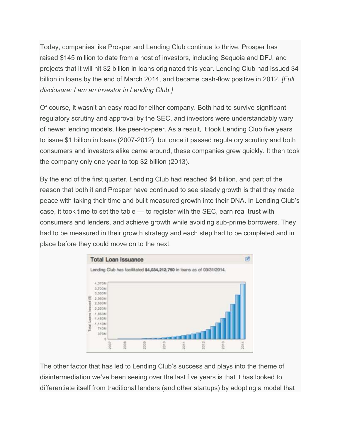Today, companies like Prosper and Lending Club continue to thrive. Prosper has raised \$145 million to date from a host of investors, including Sequoia and DFJ, and projects that it will hit \$2 billion in loans originated this year. Lending Club had issued \$4 billion in loans by the end of March 2014, and became cash-flow positive in 2012. *[Full disclosure: I am an investor in Lending Club.]*

Of course, it wasn't an easy road for either company. Both had to survive significant regulatory scrutiny and approval by the SEC, and investors were understandably wary of newer lending models, like peer-to-peer. As a result, it took Lending Club five years to issue \$1 billion in loans (2007-2012), but once it passed regulatory scrutiny and both consumers and investors alike came around, these companies grew quickly. It then took the company only one year to top \$2 billion (2013).

By the end of the first quarter, Lending Club had reached \$4 billion, and part of the reason that both it and Prosper have continued to see steady growth is that they made peace with taking their time and built measured growth into their DNA. In Lending Club's case, it took time to set the table — to register with the SEC, earn real trust with consumers and lenders, and achieve growth while avoiding sub-prime borrowers. They had to be measured in their growth strategy and each step had to be completed and in place before they could move on to the next.



The other factor that has led to Lending Club's success and plays into the theme of disintermediation we've been seeing over the last five years is that it has looked to differentiate itself from traditional lenders (and other startups) by adopting a model that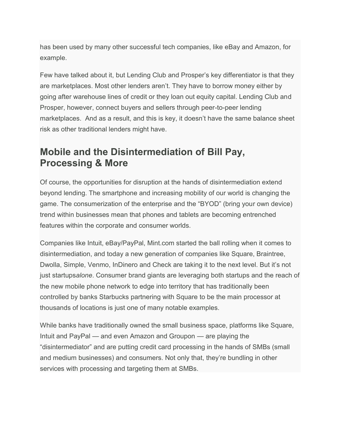has been used by many other successful tech companies, like eBay and Amazon, for example.

Few have talked about it, but Lending Club and Prosper's key differentiator is that they are marketplaces. Most other lenders aren't. They have to borrow money either by going after warehouse lines of credit or they loan out equity capital. Lending Club and Prosper, however, connect buyers and sellers through peer-to-peer lending marketplaces. And as a result, and this is key, it doesn't have the same balance sheet risk as other traditional lenders might have.

### **Mobile and the Disintermediation of Bill Pay, Processing & More**

Of course, the opportunities for disruption at the hands of disintermediation extend beyond lending. The smartphone and increasing mobility of our world is changing the game. The consumerization of the enterprise and the "BYOD" (bring your own device) trend within businesses mean that phones and tablets are becoming entrenched features within the corporate and consumer worlds.

Companies like Intuit, eBay/PayPal, Mint.com started the ball rolling when it comes to disintermediation, and today a new generation of companies like Square, Braintree, Dwolla, Simple, Venmo, InDinero and Check are taking it to the next level. But it's not just startups*alone*. Consumer brand giants are leveraging both startups and the reach of the new mobile phone network to edge into territory that has traditionally been controlled by banks Starbucks partnering with Square to be the main processor at thousands of locations is just one of many notable examples.

While banks have traditionally owned the small business space, platforms like Square, Intuit and PayPal — and even Amazon and Groupon — are playing the "disintermediator" and are putting credit card processing in the hands of SMBs (small and medium businesses) and consumers. Not only that, they're bundling in other services with processing and targeting them at SMBs.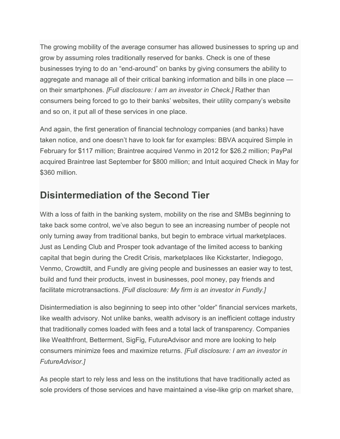The growing mobility of the average consumer has allowed businesses to spring up and grow by assuming roles traditionally reserved for banks. Check is one of these businesses trying to do an "end-around" on banks by giving consumers the ability to aggregate and manage all of their critical banking information and bills in one place on their smartphones. *[Full disclosure: I am an investor in Check.]* Rather than consumers being forced to go to their banks' websites, their utility company's website and so on, it put all of these services in one place.

And again, the first generation of financial technology companies (and banks) have taken notice, and one doesn't have to look far for examples: BBVA acquired Simple in February for \$117 million; Braintree acquired Venmo in 2012 for \$26.2 million; PayPal acquired Braintree last September for \$800 million; and Intuit acquired Check in May for \$360 million.

## **Disintermediation of the Second Tier**

With a loss of faith in the banking system, mobility on the rise and SMBs beginning to take back some control, we've also begun to see an increasing number of people not only turning away from traditional banks, but begin to embrace virtual marketplaces. Just as Lending Club and Prosper took advantage of the limited access to banking capital that begin during the Credit Crisis, marketplaces like Kickstarter, Indiegogo, Venmo, Crowdtilt, and Fundly are giving people and businesses an easier way to test, build and fund their products, invest in businesses, pool money, pay friends and facilitate microtransactions. *[Full disclosure: My firm is an investor in Fundly.]*

Disintermediation is also beginning to seep into other "older" financial services markets, like wealth advisory. Not unlike banks, wealth advisory is an inefficient cottage industry that traditionally comes loaded with fees and a total lack of transparency. Companies like Wealthfront, Betterment, SigFig, FutureAdvisor and more are looking to help consumers minimize fees and maximize returns. *[Full disclosure: I am an investor in FutureAdvisor.]*

As people start to rely less and less on the institutions that have traditionally acted as sole providers of those services and have maintained a vise-like grip on market share,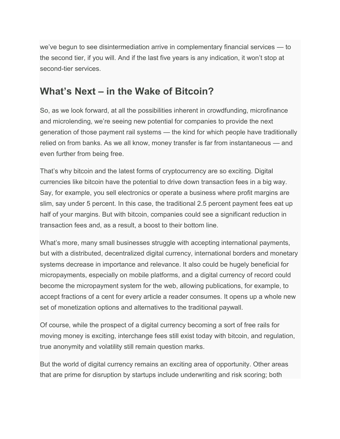we've begun to see disintermediation arrive in complementary financial services — to the second tier, if you will. And if the last five years is any indication, it won't stop at second-tier services.

### **What's Next – in the Wake of Bitcoin?**

So, as we look forward, at all the possibilities inherent in crowdfunding, microfinance and microlending, we're seeing new potential for companies to provide the next generation of those payment rail systems — the kind for which people have traditionally relied on from banks. As we all know, money transfer is far from instantaneous — and even further from being free.

That's why bitcoin and the latest forms of cryptocurrency are so exciting. Digital currencies like bitcoin have the potential to drive down transaction fees in a big way. Say, for example, you sell electronics or operate a business where profit margins are slim, say under 5 percent. In this case, the traditional 2.5 percent payment fees eat up half of your margins. But with bitcoin, companies could see a significant reduction in transaction fees and, as a result, a boost to their bottom line.

What's more, many small businesses struggle with accepting international payments, but with a distributed, decentralized digital currency, international borders and monetary systems decrease in importance and relevance. It also could be hugely beneficial for micropayments, especially on mobile platforms, and a digital currency of record could become the micropayment system for the web, allowing publications, for example, to accept fractions of a cent for every article a reader consumes. It opens up a whole new set of monetization options and alternatives to the traditional paywall.

Of course, while the prospect of a digital currency becoming a sort of free rails for moving money is exciting, interchange fees still exist today with bitcoin, and regulation, true anonymity and volatility still remain question marks.

But the world of digital currency remains an exciting area of opportunity. Other areas that are prime for disruption by startups include underwriting and risk scoring; both